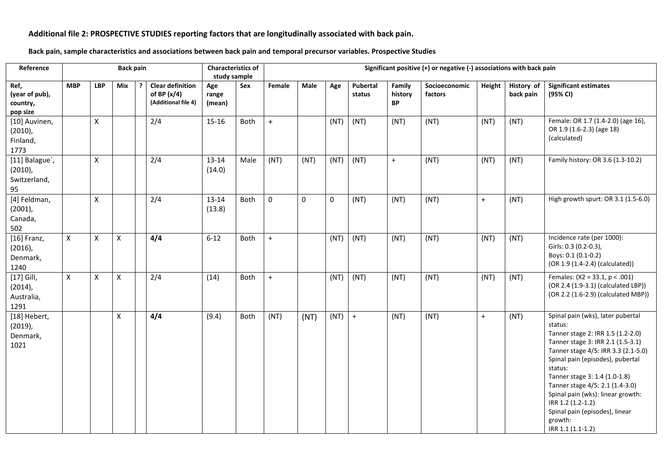## **Additional file 2: PROSPECTIVE STUDIES reporting factors that are longitudinally associated with back pain.**

**Back pain, sample characteristics and associations between back pain and temporal precursor variables. Prospective Studies**

| Reference                                          |              |            | <b>Back pain</b> |   |                                                                 | <b>Characteristics of</b><br>study sample |      | Significant positive (+) or negative (-) associations with back pain |      |             |                    |                                |                          |        |                         |                                                                                                                                                                                                                                                                                                                                                                                                              |  |  |
|----------------------------------------------------|--------------|------------|------------------|---|-----------------------------------------------------------------|-------------------------------------------|------|----------------------------------------------------------------------|------|-------------|--------------------|--------------------------------|--------------------------|--------|-------------------------|--------------------------------------------------------------------------------------------------------------------------------------------------------------------------------------------------------------------------------------------------------------------------------------------------------------------------------------------------------------------------------------------------------------|--|--|
| Ref,<br>(year of pub),<br>country,<br>pop size     | <b>MBP</b>   | <b>LBP</b> | Mix              | 2 | <b>Clear definition</b><br>of BP $(x/4)$<br>(Additional file 4) | Age<br>range<br>(mean)                    | Sex  | Female                                                               | Male | Age         | Pubertal<br>status | Family<br>history<br><b>BP</b> | Socioeconomic<br>factors | Height | History of<br>back pain | <b>Significant estimates</b><br>(95% CI)                                                                                                                                                                                                                                                                                                                                                                     |  |  |
| [10] Auvinen,<br>$(2010)$ ,<br>Finland,<br>1773    |              | X          |                  |   | 2/4                                                             | 15-16                                     | Both | $+$                                                                  |      | (NT)        | (NT)               | (NT)                           | (NT)                     | (NT)   | (NT)                    | Female: OR 1.7 (1.4-2.0) (age 16),<br>OR 1.9 (1.6-2.3) (age 18)<br>(calculated)                                                                                                                                                                                                                                                                                                                              |  |  |
| [11] Balague',<br>$(2010)$ ,<br>Switzerland,<br>95 |              | X          |                  |   | 2/4                                                             | 13-14<br>(14.0)                           | Male | (NT)                                                                 | (NT) | (NT)        | (NT)               | $+$                            | (NT)                     | (NT)   | (NT)                    | Family history: OR 3.6 (1.3-10.2)                                                                                                                                                                                                                                                                                                                                                                            |  |  |
| [4] Feldman,<br>$(2001)$ ,<br>Canada,<br>502       |              | X          |                  |   | 2/4                                                             | $13 - 14$<br>(13.8)                       | Both | 0                                                                    | 0    | $\mathbf 0$ | (NT)               | (NT)                           | (NT)                     | $+$    | (NT)                    | High growth spurt: OR 3.1 (1.5-6.0)                                                                                                                                                                                                                                                                                                                                                                          |  |  |
| $[16]$ Franz,<br>$(2016)$ ,<br>Denmark,<br>1240    | $\mathsf{X}$ | X          | Χ                |   | 4/4                                                             | $6 - 12$                                  | Both | $+$                                                                  |      | (NT)        | (NT)               | (NT)                           | (NT)                     | (NT)   | (NT)                    | Incidence rate (per 1000):<br>Girls: 0.3 (0.2-0.3),<br>Boys: 0.1 (0.1-0.2)<br>(OR 1.9 (1.4-2.4) (calculated))                                                                                                                                                                                                                                                                                                |  |  |
| $[17]$ Gill,<br>$(2014)$ ,<br>Australia,<br>1291   | X            | X          | X                |   | 2/4                                                             | (14)                                      | Both | $+$                                                                  |      | (NT)        | (NT)               | (NT)                           | (NT)                     | (NT)   | (NT)                    | Females: $(X2 = 33.1, p < .001)$<br>(OR 2.4 (1.9-3.1) (calculated LBP))<br>(OR 2.2 (1.6-2.9) (calculated MBP))                                                                                                                                                                                                                                                                                               |  |  |
| [18] Hebert,<br>$(2019)$ ,<br>Denmark,<br>1021     |              |            | X                |   | 4/4                                                             | (9.4)                                     | Both | (NT)                                                                 | (NT) | (NT)        | $+$                | (NT)                           | (NT)                     | $+$    | (NT)                    | Spinal pain (wks), later pubertal<br>status:<br>Tanner stage 2: IRR 1.5 (1.2-2.0)<br>Tanner stage 3: IRR 2.1 (1.5-3.1)<br>Tanner stage 4/5: IRR 3.3 (2.1-5.0)<br>Spinal pain (episodes), pubertal<br>status:<br>Tanner stage 3: 1.4 (1.0-1.8)<br>Tanner stage 4/5: 2.1 (1.4-3.0)<br>Spinal pain (wks): linear growth:<br>IRR 1.2 (1.2-1.2)<br>Spinal pain (episodes), linear<br>growth:<br>IRR 1.1 (1.1-1.2) |  |  |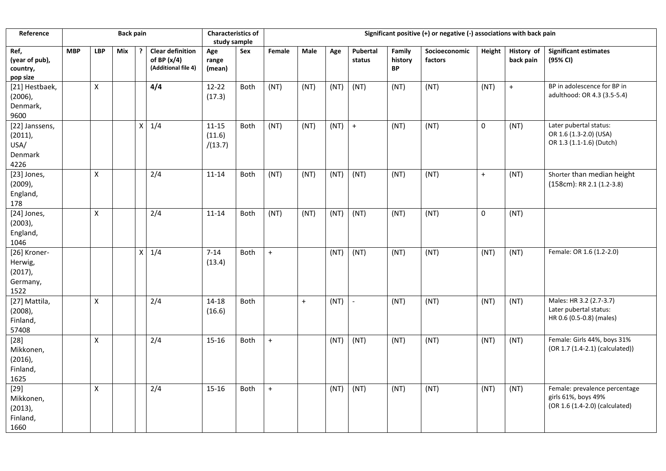| Reference                                                 |            |            | <b>Back pain</b> |                  |                                                                 | <b>Characteristics of</b><br>study sample |             | Significant positive (+) or negative (-) associations with back pain |      |      |                    |                                |                          |           |                                |                                                                                        |  |  |
|-----------------------------------------------------------|------------|------------|------------------|------------------|-----------------------------------------------------------------|-------------------------------------------|-------------|----------------------------------------------------------------------|------|------|--------------------|--------------------------------|--------------------------|-----------|--------------------------------|----------------------------------------------------------------------------------------|--|--|
| Ref,<br>(year of pub),<br>country,<br>pop size            | <b>MBP</b> | <b>LBP</b> | Mix              |                  | <b>Clear definition</b><br>of BP $(x/4)$<br>(Additional file 4) | Age<br>range<br>(mean)                    | Sex         | Female                                                               | Male | Age  | Pubertal<br>status | Family<br>history<br><b>BP</b> | Socioeconomic<br>factors | Height    | <b>History</b> of<br>back pain | Significant estimates<br>(95% CI)                                                      |  |  |
| [21] Hestbaek,<br>$(2006)$ ,<br>Denmark,<br>9600          |            | X          |                  |                  | 4/4                                                             | $12 - 22$<br>(17.3)                       | Both        | (NT)                                                                 | (NT) | (NT) | (NT)               | (NT)                           | (NT)                     | (NT)      | $\ddot{}$                      | BP in adolescence for BP in<br>adulthood: OR 4.3 (3.5-5.4)                             |  |  |
| [22] Janssens,<br>$(2011)$ ,<br>USA/<br>Denmark<br>4226   |            |            |                  | $\mathsf X$      | 1/4                                                             | $11 - 15$<br>(11.6)<br>/(13.7)            | Both        | (NT)                                                                 | (NT) | (NT) | $+$                | (NT)                           | (NT)                     | $\pmb{0}$ | (NT)                           | Later pubertal status:<br>OR 1.6 (1.3-2.0) (USA)<br>OR 1.3 (1.1-1.6) (Dutch)           |  |  |
| [23] Jones,<br>$(2009)$ ,<br>England,<br>178              |            | X          |                  |                  | 2/4                                                             | $11 - 14$                                 | <b>Both</b> | (NT)                                                                 | (NT) | (NT) | (NT)               | (NT)                           | (NT)                     | $\ddot{}$ | (NT)                           | Shorter than median height<br>(158cm): RR 2.1 (1.2-3.8)                                |  |  |
| [24] Jones,<br>$(2003)$ ,<br>England,<br>1046             |            | X          |                  |                  | 2/4                                                             | $11 - 14$                                 | <b>Both</b> | (NT)                                                                 | (NT) | (NT) | (NT)               | (NT)                           | (NT)                     | 0         | (NT)                           |                                                                                        |  |  |
| [26] Kroner-<br>Herwig,<br>$(2017)$ ,<br>Germany,<br>1522 |            |            |                  | $\boldsymbol{X}$ | 1/4                                                             | $7 - 14$<br>(13.4)                        | <b>Both</b> | $+$                                                                  |      | (NT) | (NT)               | (NT)                           | (NT)                     | (NT)      | (NT)                           | Female: OR 1.6 (1.2-2.0)                                                               |  |  |
| [27] Mattila,<br>$(2008)$ ,<br>Finland,<br>57408          |            | Χ          |                  |                  | 2/4                                                             | 14-18<br>(16.6)                           | Both        |                                                                      | $+$  | (NT) |                    | (NT)                           | (NT)                     | (NT)      | (NT)                           | Males: HR 3.2 (2.7-3.7)<br>Later pubertal status:<br>HR 0.6 (0.5-0.8) (males)          |  |  |
| $[28]$<br>Mikkonen,<br>$(2016)$ ,<br>Finland,<br>1625     |            | Χ          |                  |                  | 2/4                                                             | 15-16                                     | <b>Both</b> | $+$                                                                  |      | (NT) | (NT)               | (NT)                           | (NT)                     | (NT)      | (NT)                           | Female: Girls 44%, boys 31%<br>(OR 1.7 (1.4-2.1) (calculated))                         |  |  |
| $[29]$<br>Mikkonen,<br>(2013),<br>Finland,<br>1660        |            | X          |                  |                  | 2/4                                                             | 15-16                                     | <b>Both</b> | $+$                                                                  |      | (NT) | (NT)               | (NT)                           | (NT)                     | (NT)      | (NT)                           | Female: prevalence percentage<br>girls 61%, boys 49%<br>(OR 1.6 (1.4-2.0) (calculated) |  |  |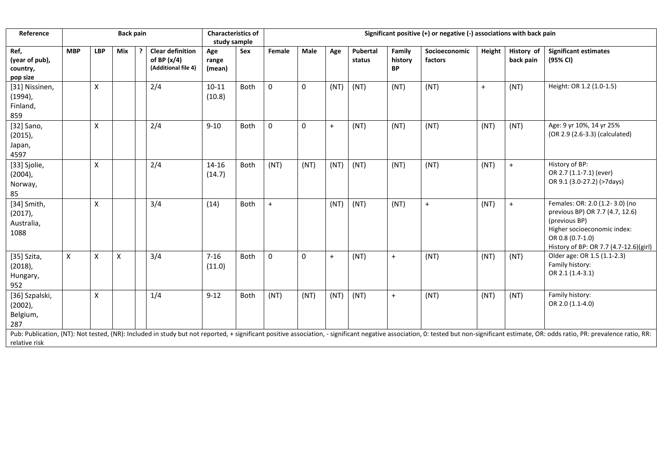| Reference                                                                                                                                                                                                                                       |                                                  |   | <b>Back pain</b>                               |                        |     | <b>Characteristics of</b><br>study sample |             | Significant positive (+) or negative (-) associations with back pain |                    |                                |                          |           |                         |                                          |      |                                                                                                                                                                                 |  |  |
|-------------------------------------------------------------------------------------------------------------------------------------------------------------------------------------------------------------------------------------------------|--------------------------------------------------|---|------------------------------------------------|------------------------|-----|-------------------------------------------|-------------|----------------------------------------------------------------------|--------------------|--------------------------------|--------------------------|-----------|-------------------------|------------------------------------------|------|---------------------------------------------------------------------------------------------------------------------------------------------------------------------------------|--|--|
| Ref,<br>(year of pub),<br>country,<br>pop size                                                                                                                                                                                                  | <b>MBP</b><br><b>LBP</b><br>Mix<br>of BP $(x/4)$ |   | <b>Clear definition</b><br>(Additional file 4) | Age<br>range<br>(mean) | Sex | Female                                    | Male        | Age                                                                  | Pubertal<br>status | Family<br>history<br><b>BP</b> | Socioeconomic<br>factors | Height    | History of<br>back pain | <b>Significant estimates</b><br>(95% CI) |      |                                                                                                                                                                                 |  |  |
| [31] Nissinen,<br>$(1994)$ ,<br>Finland,<br>859                                                                                                                                                                                                 |                                                  | X |                                                |                        | 2/4 | $10 - 11$<br>(10.8)                       | Both        | 0                                                                    | 0                  | (NT)                           | (NT)                     | (NT)      | (NT)                    | $+$                                      | (NT) | Height: OR 1.2 (1.0-1.5)                                                                                                                                                        |  |  |
| [32] Sano,<br>$(2015)$ ,<br>Japan,<br>4597                                                                                                                                                                                                      |                                                  | X |                                                |                        | 2/4 | $9 - 10$                                  | Both        | 0                                                                    | 0                  | $+$                            | (NT)                     | (NT)      | (NT)                    | (NT)                                     | (NT) | Age: 9 yr 10%, 14 yr 25%<br>(OR 2.9 (2.6-3.3) (calculated)                                                                                                                      |  |  |
| [33] Sjolie,<br>$(2004)$ ,<br>Norway,<br>85                                                                                                                                                                                                     |                                                  | X |                                                |                        | 2/4 | 14-16<br>(14.7)                           | Both        | (NT)                                                                 | (NT)               | (NT)                           | (NT)                     | (NT)      | (NT)                    | (NT)                                     | $+$  | History of BP:<br>OR 2.7 (1.1-7.1) (ever)<br>OR 9.1 (3.0-27.2) (>7days)                                                                                                         |  |  |
| [34] Smith,<br>$(2017)$ ,<br>Australia,<br>1088                                                                                                                                                                                                 |                                                  | X |                                                |                        | 3/4 | (14)                                      | Both        | $+$                                                                  |                    | (NT)                           | (NT)                     | (NT)      | $\ddot{}$               | (NT)                                     | $+$  | Females: OR: 2.0 (1.2-3.0) (no<br>previous BP) OR 7.7 (4.7, 12.6)<br>(previous BP)<br>Higher socioeconomic index:<br>OR 0.8 (0.7-1.0)<br>History of BP: OR 7.7 (4.7-12.6)(girl) |  |  |
| [35] Szita,<br>$(2018)$ ,<br>Hungary,<br>952                                                                                                                                                                                                    | X                                                | X | X                                              |                        | 3/4 | $7 - 16$<br>(11.0)                        | Both        | 0                                                                    | $\mathbf{0}$       | $+$                            | (NT)                     | $\ddot{}$ | (NT)                    | (NT)                                     | (NT) | Older age: OR 1.5 (1.1-2.3)<br>Family history:<br>OR 2.1 (1.4-3.1)                                                                                                              |  |  |
| [36] Szpalski,<br>$(2002)$ ,<br>Belgium,<br>287                                                                                                                                                                                                 |                                                  | X |                                                |                        | 1/4 | $9 - 12$                                  | <b>Both</b> | (NT)                                                                 | (NT)               | (NT)                           | (NT)                     | $+$       | (NT)                    | (NT)                                     | (NT) | Family history:<br>OR 2.0 (1.1-4.0)                                                                                                                                             |  |  |
| Pub: Publication, (NT): Not tested, (NR): Included in study but not reported, + significant positive association, - significant negative association, 0: tested but non-significant estimate, OR: odds ratio, PR: prevalence r<br>relative risk |                                                  |   |                                                |                        |     |                                           |             |                                                                      |                    |                                |                          |           |                         |                                          |      |                                                                                                                                                                                 |  |  |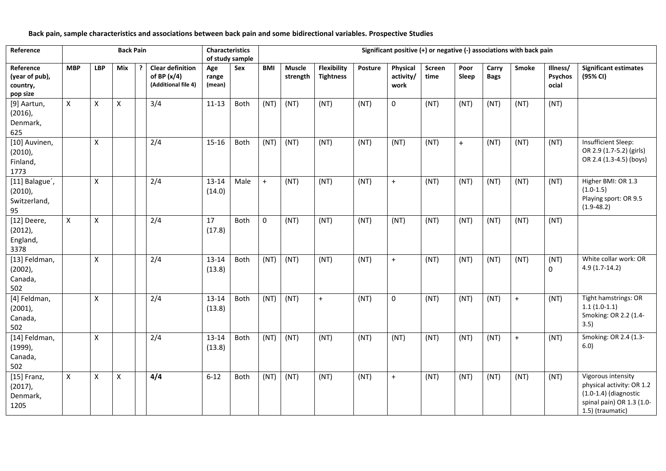**Back pain, sample characteristics and associations between back pain and some bidirectional variables. Prospective Studies**

| Reference                                           |            |                    | <b>Back Pain</b> |   |                                                                 | <b>Characteristics</b> | of study sample | Significant positive (+) or negative (-) associations with back pain |                           |                                 |         |                               |                |               |                      |              |                                     |                                                                                                                             |  |
|-----------------------------------------------------|------------|--------------------|------------------|---|-----------------------------------------------------------------|------------------------|-----------------|----------------------------------------------------------------------|---------------------------|---------------------------------|---------|-------------------------------|----------------|---------------|----------------------|--------------|-------------------------------------|-----------------------------------------------------------------------------------------------------------------------------|--|
| Reference<br>(year of pub),<br>country,<br>pop size | <b>MBP</b> | <b>LBP</b>         | <b>Mix</b>       | ? | <b>Clear definition</b><br>of BP $(x/4)$<br>(Additional file 4) | Age<br>range<br>(mean) | Sex             | <b>BMI</b>                                                           | <b>Muscle</b><br>strength | Flexibility<br><b>Tightness</b> | Posture | Physical<br>activity/<br>work | Screen<br>time | Poor<br>Sleep | Carry<br><b>Bags</b> | <b>Smoke</b> | Illness/<br><b>Psychos</b><br>ocial | <b>Significant estimates</b><br>(95% CI)                                                                                    |  |
| [9] Aartun,<br>$(2016)$ ,<br>Denmark,<br>625        | X          | X                  | X                |   | 3/4                                                             | $11 - 13$              | Both            | (NT)                                                                 | (NT)                      | (NT)                            | (NT)    | $\mathbf 0$                   | (NT)           | (NT)          | (NT)                 | (NT)         | (NT)                                |                                                                                                                             |  |
| [10] Auvinen,<br>$(2010)$ ,<br>Finland,<br>1773     |            | $\pmb{\mathsf{X}}$ |                  |   | 2/4                                                             | 15-16                  | Both            | (NT)                                                                 | (NT)                      | (NT)                            | (NT)    | (NT)                          | (NT)           | $+$           | (NT)                 | (NT)         | (NT)                                | Insufficient Sleep:<br>OR 2.9 (1.7-5.2) (girls)<br>OR 2.4 (1.3-4.5) (boys)                                                  |  |
| [11] Balague',<br>$(2010)$ ,<br>Switzerland,<br>95  |            | X                  |                  |   | 2/4                                                             | 13-14<br>(14.0)        | Male            | $+$                                                                  | (NT)                      | (NT)                            | (NT)    | $+$                           | (NT)           | (NT)          | (NT)                 | (NT)         | (NT)                                | Higher BMI: OR 1.3<br>$(1.0-1.5)$<br>Playing sport: OR 9.5<br>$(1.9 - 48.2)$                                                |  |
| [12] Deere,<br>$(2012)$ ,<br>England,<br>3378       | X          | X                  |                  |   | 2/4                                                             | 17<br>(17.8)           | Both            | $\mathsf{O}\xspace$                                                  | (NT)                      | (NT)                            | (NT)    | (NT)                          | (NT)           | (NT)          | (NT)                 | (NT)         | (NT)                                |                                                                                                                             |  |
| [13] Feldman,<br>$(2002)$ ,<br>Canada,<br>502       |            | X                  |                  |   | 2/4                                                             | 13-14<br>(13.8)        | Both            | (NT)                                                                 | (NT)                      | (NT)                            | (NT)    | $+$                           | (NT)           | (NT)          | (NT)                 | (NT)         | (NT)<br>$\mathbf{0}$                | White collar work: OR<br>$4.9(1.7-14.2)$                                                                                    |  |
| [4] Feldman,<br>$(2001)$ ,<br>Canada,<br>502        |            | X                  |                  |   | 2/4                                                             | 13-14<br>(13.8)        | Both            | (NT)                                                                 | (NT)                      | $+$                             | (NT)    | $\mathsf 0$                   | (NT)           | (NT)          | (NT)                 | $\ddot{}$    | (NT)                                | Tight hamstrings: OR<br>$1.1(1.0-1.1)$<br>Smoking: OR 2.2 (1.4-<br>3.5)                                                     |  |
| [14] Feldman,<br>$(1999)$ ,<br>Canada,<br>502       |            | X                  |                  |   | 2/4                                                             | 13-14<br>(13.8)        | Both            | (NT)                                                                 | (NT)                      | (NT)                            | (NT)    | (NT)                          | (NT)           | (NT)          | (NT)                 | $+$          | (NT)                                | Smoking: OR 2.4 (1.3-<br>6.0)                                                                                               |  |
| $[15]$ Franz,<br>$(2017)$ ,<br>Denmark,<br>1205     | X          | X                  | X                |   | 4/4                                                             | $6 - 12$               | Both            | (NT)                                                                 | (NT)                      | (NT)                            | (NT)    | $\boldsymbol{+}$              | (NT)           | (NT)          | (NT)                 | (NT)         | (NT)                                | Vigorous intensity<br>physical activity: OR 1.2<br>$(1.0-1.4)$ (diagnostic<br>spinal pain) OR 1.3 (1.0-<br>1.5) (traumatic) |  |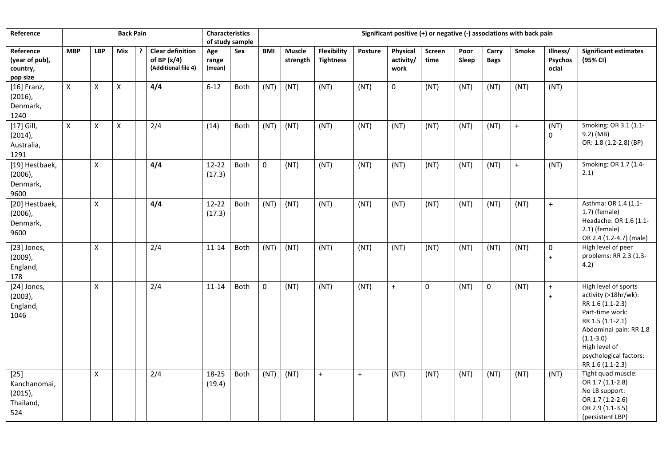| Reference                                                |                |                | <b>Back Pain</b>          |                                                                 | <b>Characteristics</b> | of study sample | Significant positive (+) or negative (-) associations with back pain |                           |                                        |           |                               |                |               |                      |              |                              |                                                                                                                                                                                                                   |  |
|----------------------------------------------------------|----------------|----------------|---------------------------|-----------------------------------------------------------------|------------------------|-----------------|----------------------------------------------------------------------|---------------------------|----------------------------------------|-----------|-------------------------------|----------------|---------------|----------------------|--------------|------------------------------|-------------------------------------------------------------------------------------------------------------------------------------------------------------------------------------------------------------------|--|
| Reference<br>(year of pub),<br>country,<br>pop size      | <b>MBP</b>     | <b>LBP</b>     | Mix                       | <b>Clear definition</b><br>of BP $(x/4)$<br>(Additional file 4) | Age<br>range<br>(mean) | Sex             | <b>BMI</b>                                                           | <b>Muscle</b><br>strength | <b>Flexibility</b><br><b>Tightness</b> | Posture   | Physical<br>activity/<br>work | Screen<br>time | Poor<br>Sleep | Carry<br><b>Bags</b> | <b>Smoke</b> | Illness/<br>Psychos<br>ocial | <b>Significant estimates</b><br>(95% CI)                                                                                                                                                                          |  |
| $[16]$ Franz,<br>$(2016)$ ,<br>Denmark,<br>1240          | $\pmb{\times}$ | $\pmb{\times}$ | $\boldsymbol{\mathsf{x}}$ | 4/4                                                             | $6 - 12$               | Both            | (NT)                                                                 | (NT)                      | (NT)                                   | (NT)      | $\mathbf 0$                   | (NT)           | (NT)          | (NT)                 | (NT)         | (NT)                         |                                                                                                                                                                                                                   |  |
| $[17]$ Gill,<br>$(2014)$ ,<br>Australia,<br>1291         | $\mathsf{X}$   | X              | $\pmb{\times}$            | 2/4                                                             | (14)                   | Both            | (NT)                                                                 | (NT)                      | (NT)                                   | (NT)      | (NT)                          | (NT)           | (NT)          | (NT)                 | $\ddot{}$    | (NT)<br>0                    | Smoking: OR 3.1 (1.1-<br>9.2) (MB)<br>OR: 1.8 (1.2-2.8) (BP)                                                                                                                                                      |  |
| [19] Hestbaek,<br>$(2006)$ ,<br>Denmark,<br>9600         |                | X              |                           | 4/4                                                             | 12-22<br>(17.3)        | Both            | 0                                                                    | (NT)                      | (NT)                                   | (NT)      | (NT)                          | (NT)           | (NT)          | (NT)                 | $\ddot{}$    | (NT)                         | Smoking: OR 1.7 (1.4-<br>2.1)                                                                                                                                                                                     |  |
| [20] Hestbaek,<br>$(2006)$ ,<br>Denmark,<br>9600         |                | X              |                           | 4/4                                                             | $12 - 22$<br>(17.3)    | Both            | (NT)                                                                 | (NT)                      | (NT)                                   | (NT)      | (NT)                          | (NT)           | (NT)          | (NT)                 | (NT)         | $+$                          | Asthma: OR 1.4 (1.1-<br>$1.7$ ) (female)<br>Headache: OR 1.6 (1.1-<br>$2.1$ ) (female)<br>OR 2.4 (1.2-4.7) (male)                                                                                                 |  |
| [23] Jones,<br>$(2009)$ ,<br>England,<br>178             |                | X              |                           | 2/4                                                             | 11-14                  | Both            | (NT)                                                                 | (NT)                      | (NT)                                   | (NT)      | (NT)                          | (NT)           | (NT)          | (NT)                 | (NT)         | 0<br>$+$                     | High level of peer<br>problems: RR 2.3 (1.3-<br>4.2)                                                                                                                                                              |  |
| [24] Jones,<br>$(2003)$ ,<br>England,<br>1046            |                | $\pmb{\times}$ |                           | 2/4                                                             | $11 - 14$              | Both            | $\pmb{0}$                                                            | (NT)                      | (NT)                                   | (NT)      | $\bf{+}$                      | 0              | (NT)          | 0                    | (NT)         | $\boldsymbol{+}$<br>$+$      | High level of sports<br>activity (>18hr/wk):<br>RR 1.6 (1.1-2.3)<br>Part-time work:<br>RR 1.5 (1.1-2.1)<br>Abdominal pain: RR 1.8<br>$(1.1 - 3.0)$<br>High level of<br>psychological factors:<br>RR 1.6 (1.1-2.3) |  |
| $[25]$<br>Kanchanomai,<br>$(2015)$ ,<br>Thailand,<br>524 |                | X              |                           | 2/4                                                             | 18-25<br>(19.4)        | Both            | (NT)                                                                 | (NT)                      | $+$                                    | $\ddot{}$ | (NT)                          | (NT)           | (NT)          | (NT)                 | (NT)         | (NT)                         | Tight quad muscle:<br>OR 1.7 (1.1-2.8)<br>No LB support:<br>OR 1.7 (1.2-2.6)<br>OR 2.9 (1.1-3.5)<br>(persistent LBP)                                                                                              |  |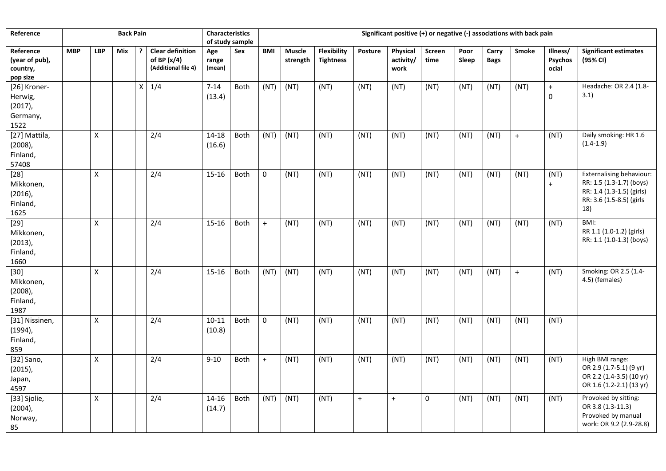| Reference                                                 |            |            | <b>Back Pain</b> |             |                                                                 | Characteristics<br>Significant positive (+) or negative (-) associations with back pain |             |                     |                           |                                 |         |                               |                |               |                      |              |                              |                                                                                                                             |  |  |
|-----------------------------------------------------------|------------|------------|------------------|-------------|-----------------------------------------------------------------|-----------------------------------------------------------------------------------------|-------------|---------------------|---------------------------|---------------------------------|---------|-------------------------------|----------------|---------------|----------------------|--------------|------------------------------|-----------------------------------------------------------------------------------------------------------------------------|--|--|
|                                                           |            |            |                  |             |                                                                 | of study sample                                                                         |             |                     |                           |                                 |         |                               |                |               |                      |              |                              |                                                                                                                             |  |  |
| Reference<br>(year of pub),<br>country,<br>pop size       | <b>MBP</b> | <b>LBP</b> | Mix              |             | <b>Clear definition</b><br>of BP $(x/4)$<br>(Additional file 4) | Age<br>range<br>(mean)                                                                  | Sex         | <b>BMI</b>          | <b>Muscle</b><br>strength | Flexibility<br><b>Tightness</b> | Posture | Physical<br>activity/<br>work | Screen<br>time | Poor<br>Sleep | Carry<br><b>Bags</b> | <b>Smoke</b> | Illness/<br>Psychos<br>ocial | <b>Significant estimates</b><br>(95% CI)                                                                                    |  |  |
| [26] Kroner-<br>Herwig,<br>$(2017)$ ,<br>Germany,<br>1522 |            |            |                  | $\mathsf X$ | 1/4                                                             | $7 - 14$<br>(13.4)                                                                      | Both        | (NT)                | (NT)                      | (NT)                            | (NT)    | (NT)                          | (NT)           | (NT)          | (NT)                 | (NT)         | $\bf{+}$<br>0                | Headache: OR 2.4 (1.8-<br>3.1)                                                                                              |  |  |
| [27] Mattila,<br>$(2008)$ ,<br>Finland,<br>57408          |            | Χ          |                  |             | 2/4                                                             | 14-18<br>(16.6)                                                                         | Both        | (NT)                | (NT)                      | (NT)                            | (NT)    | (NT)                          | (NT)           | (NT)          | (NT)                 | $+$          | (NT)                         | Daily smoking: HR 1.6<br>$(1.4-1.9)$                                                                                        |  |  |
| $[28]$<br>Mikkonen,<br>$(2016)$ ,<br>Finland,<br>1625     |            | X          |                  |             | 2/4                                                             | 15-16                                                                                   | <b>Both</b> | $\mathsf{O}\xspace$ | (NT)                      | (NT)                            | (NT)    | (NT)                          | (NT)           | (NT)          | (NT)                 | (NT)         | (NT)<br>$\ddot{}$            | <b>Externalising behaviour:</b><br>RR: 1.5 (1.3-1.7) (boys)<br>RR: 1.4 (1.3-1.5) (girls)<br>RR: 3.6 (1.5-8.5) (girls<br>18) |  |  |
| $[29]$<br>Mikkonen,<br>$(2013)$ ,<br>Finland,<br>1660     |            | X          |                  |             | 2/4                                                             | 15-16                                                                                   | <b>Both</b> | $+$                 | (NT)                      | (NT)                            | (NT)    | (NT)                          | (NT)           | (NT)          | (NT)                 | (NT)         | (NT)                         | BMI:<br>RR 1.1 (1.0-1.2) (girls)<br>RR: 1.1 (1.0-1.3) (boys)                                                                |  |  |
| $[30]$<br>Mikkonen,<br>$(2008)$ ,<br>Finland,<br>1987     |            | Χ          |                  |             | 2/4                                                             | 15-16                                                                                   | Both        | (NT)                | (NT)                      | (NT)                            | (NT)    | (NT)                          | (NT)           | (NT)          | (NT)                 | $+$          | (NT)                         | Smoking: OR 2.5 (1.4-<br>4.5) (females)                                                                                     |  |  |
| [31] Nissinen,<br>$(1994)$ ,<br>Finland,<br>859           |            | Χ          |                  |             | 2/4                                                             | $10 - 11$<br>(10.8)                                                                     | Both        | $\mathsf{O}\xspace$ | (NT)                      | (NT)                            | (NT)    | (NT)                          | (NT)           | (NT)          | (NT)                 | (NT)         | (NT)                         |                                                                                                                             |  |  |
| [32] Sano,<br>$(2015)$ ,<br>Japan,<br>4597                |            | X          |                  |             | 2/4                                                             | $9 - 10$                                                                                | <b>Both</b> | $+$                 | (NT)                      | (NT)                            | (NT)    | (NT)                          | (NT)           | (NT)          | (NT)                 | (NT)         | (NT)                         | High BMI range:<br>OR 2.9 (1.7-5.1) (9 yr)<br>OR 2.2 (1.4-3.5) (10 yr)<br>OR 1.6 (1.2-2.1) (13 yr)                          |  |  |
| [33] Sjolie,<br>$(2004)$ ,<br>Norway,<br>85               |            | X          |                  |             | 2/4                                                             | 14-16<br>(14.7)                                                                         | Both        | (NT)                | (NT)                      | (NT)                            | $+$     | $+$                           | $\mathbf 0$    | (NT)          | (NT)                 | (NT)         | (NT)                         | Provoked by sitting:<br>OR 3.8 (1.3-11.3)<br>Provoked by manual<br>work: OR 9.2 (2.9-28.8)                                  |  |  |